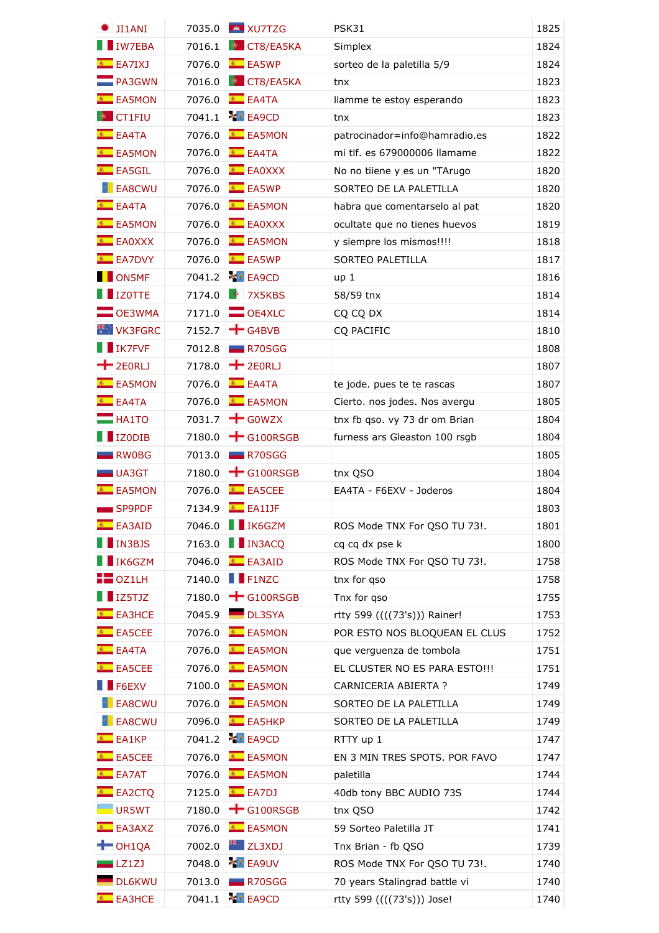| JI1ANI                | 7035.0 | <b>EN XU7TZG</b>              | PSK31                          | 1825 |
|-----------------------|--------|-------------------------------|--------------------------------|------|
| <b>I</b> IW7EBA       |        | 7016.1 CT8/EA5KA              | Simplex                        | 1824 |
| $E$ EA7IXJ            | 7076.0 | $E = EASWP$                   | sorteo de la paletilla 5/9     | 1824 |
| <b>PA3GWN</b>         | 7016.0 | <b>N</b> CT8/EA5KA            | tnx                            | 1823 |
| <b>EA5MON</b>         | 7076.0 | $E = E1ATA$                   | llamme te estoy esperando      | 1823 |
| <b>CT1FIU</b>         | 7041.1 | <b>XT EA9CD</b>               | tnx                            | 1823 |
| $E = EAATA$           | 7076.0 | EA5MON                        | patrocinador=info@hamradio.es  | 1822 |
| <b>EA5MON</b>         | 7076.0 | $E = EAATA$                   | mi tlf. es 679000006 llamame   | 1822 |
| <sup>€</sup> EA5GIL   | 7076.0 | EA0XXX                        | No no tiiene y es un "TArugo   | 1820 |
| <b>ELEASCWU</b>       | 7076.0 | $E = EASWP$                   | SORTEO DE LA PALETILLA         | 1820 |
| $E = EAATA$           | 7076.0 | EA5MON                        | habra que comentarselo al pat  | 1820 |
| <b>E</b> EA5MON       | 7076.0 | EA0XXX                        | ocultate que no tienes huevos  | 1819 |
| $E$ EA0XXX            | 7076.0 | EA5MON                        | y siempre los mismos!!!!       | 1818 |
| ← EA7DVY              | 7076.0 | $E$ EA5WP                     | <b>SORTEO PALETILLA</b>        | 1817 |
| <b>DONSME</b>         |        | 7041.2 <b>*</b> EA9CD         | up <sub>1</sub>                | 1816 |
| $\blacksquare$ IZOTTE | 7174.0 | $\left  \right $ 7X5KBS       | 58/59 tnx                      | 1814 |
| $\blacksquare$ OE3WMA | 7171.0 | $\Box$ OE4XLC                 | CQ CQ DX                       | 1814 |
| <b>WINK3FGRC</b>      | 7152.7 | $\div$ G4BVB                  | CQ PACIFIC                     | 1810 |
| <b>IN IK7FVF</b>      | 7012.8 | R70SGG                        |                                | 1808 |
| $+$ 2EORLJ            | 7178.0 | $+$ 2EORLJ                    |                                | 1807 |
| <b>EA5MON</b>         | 7076.0 | $E = EAATA$                   | te jode. pues te te rascas     | 1807 |
| $E$ EA4TA             | 7076.0 | EA5MON                        | Cierto. nos jodes. Nos avergu  | 1805 |
| $H$ <b>HA1TO</b>      | 7031.7 | $+$ GOWZX                     | tnx fb qso. vy 73 dr om Brian  | 1804 |
| IZ0DIB                | 7180.0 | $\pm$ G100RSGB                | furness ars Gleaston 100 rsgb  | 1804 |
| $\blacksquare$ RW0BG  | 7013.0 | R70SGG                        |                                | 1805 |
| $\blacksquare$ UA3GT  | 7180.0 | $\biguparrow$ G100RSGB        | tnx QSO                        | 1804 |
| <sup>€</sup> EA5MON   | 7076.0 | EA5CEE                        | EA4TA - F6EXV - Joderos        | 1804 |
| SP9PDF                | 7134.9 | $E$ EA1IJF                    |                                | 1803 |
| <sup>€</sup> EA3AID   | 7046.0 | $\blacksquare$ IK6GZM         | ROS Mode TNX For QSO TU 73!.   | 1801 |
| IN3BJS                |        | 7163.0   IN3ACQ               | cq cq dx pse k                 | 1800 |
| <b>TENNISCOM</b>      | 7046.0 | EA3AID                        | ROS Mode TNX For QSO TU 73!.   | 1758 |
| $\blacksquare$ OZ1LH  | 7140.0 | $\blacksquare$ F1NZC          | tnx for qso                    | 1758 |
| IZ5TJZ                | 7180.0 | $\div$ G100RSGB               | Tnx for qso                    | 1755 |
| <b>E</b> EA3HCE       | 7045.9 | DL3SYA                        | rtty 599 ((((73's))) Rainer!   | 1753 |
| EA5CEE                | 7076.0 | EA5MON                        | POR ESTO NOS BLOQUEAN EL CLUS  | 1752 |
| $E = EAATA$           | 7076.0 | EA5MON                        | que verguenza de tombola       | 1751 |
| EA5CEE                | 7076.0 | <b>EA5MON</b>                 | EL CLUSTER NO ES PARA ESTO !!! | 1751 |
| $\blacksquare$ F6EXV  | 7100.0 | <sup>€</sup> EA5MON           | CARNICERIA ABIERTA ?           | 1749 |
| <b>EA8CWU</b>         | 7076.0 | <b>EA5MON</b>                 | SORTEO DE LA PALETILLA         | 1749 |
| <b>EA8CWU</b>         | 7096.0 | EA5HKP                        | SORTEO DE LA PALETILLA         | 1749 |
| $E$ EA1KP             |        | 7041.2 * EA9CD                | RTTY up 1                      | 1747 |
| EA5CEE                | 7076.0 | <b>EA5MON</b>                 | EN 3 MIN TRES SPOTS. POR FAVO  | 1747 |
| EA7AT                 | 7076.0 | EA5MON                        | paletilla                      | 1744 |
| <sup>€</sup> EA2CTQ   | 7125.0 | $E$ EA7DJ                     | 40db tony BBC AUDIO 73S        | 1744 |
| UR5WT                 |        | 7180.0 $\rightarrow$ G100RSGB | tnx QSO                        | 1742 |
| <b>EA3AXZ</b>         | 7076.0 | <b>EA5MON</b>                 | 59 Sorteo Paletilla JT         | 1741 |
| $\blacksquare$ OH1QA  | 7002.0 | <b>Example 2L3XDJ</b>         | Tnx Brian - fb QSO             | 1739 |
| $\blacksquare$ LZ1ZJ  |        | 7048.0 <b>*</b> EA9UV         | ROS Mode TNX For QSO TU 73!.   | 1740 |
| <b>DL6KWU</b>         | 7013.0 | R70SGG                        | 70 years Stalingrad battle vi  | 1740 |
| <sup>€</sup> EA3HCE   |        | 7041.1 <b>*</b> EA9CD         | rtty 599 ((((73's))) Jose!     | 1740 |